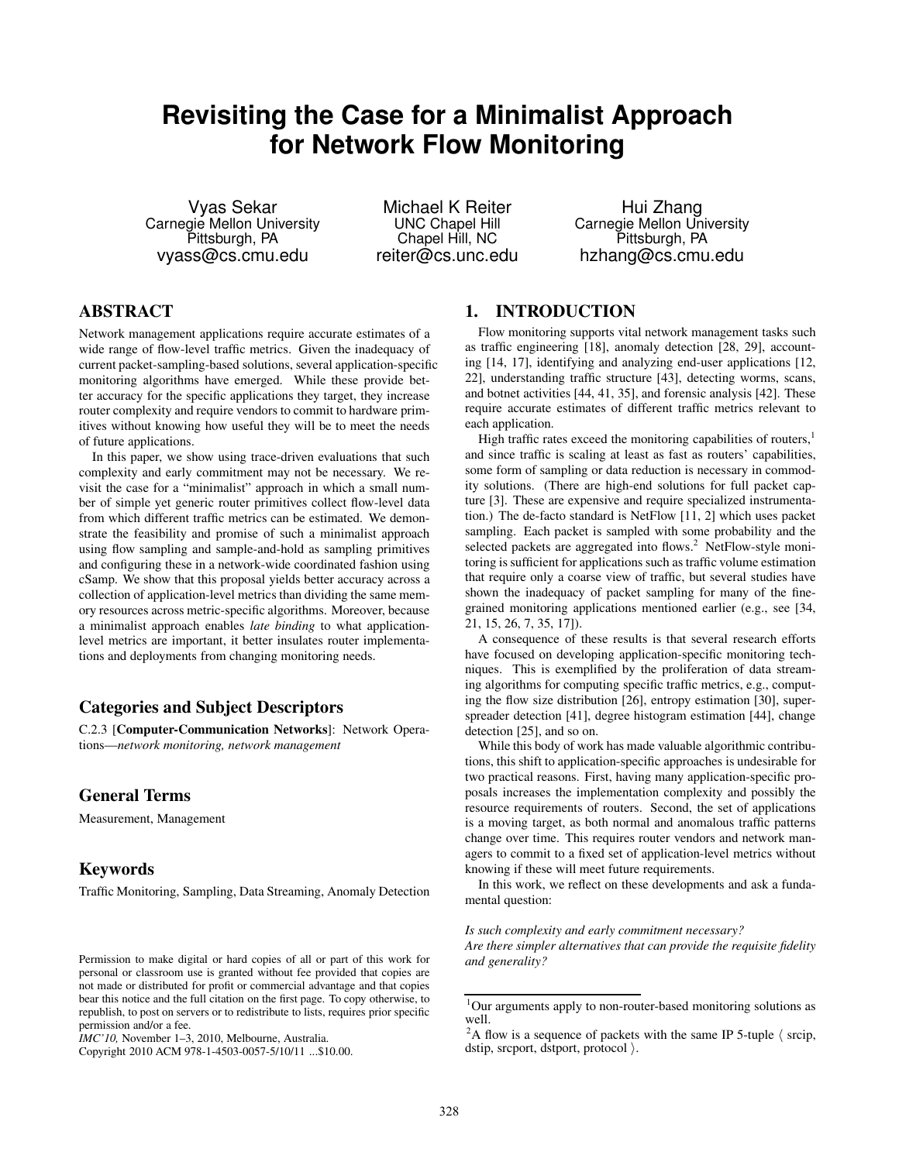# **Revisiting the Case for a Minimalist Approach for Network Flow Monitoring**

Vyas Sekar Carnegie Mellon University Pittsburgh, PA vyass@cs.cmu.edu

Michael K Reiter UNC Chapel Hill Chapel Hill, NC reiter@cs.unc.edu

Hui Zhang Carnegie Mellon University Pittsburgh, PA hzhang@cs.cmu.edu

# ABSTRACT

Network management applications require accurate estimates of a wide range of flow-level traffic metrics. Given the inadequacy of current packet-sampling-based solutions, several application-specific monitoring algorithms have emerged. While these provide better accuracy for the specific applications they target, they increase router complexity and require vendors to commit to hardware primitives without knowing how useful they will be to meet the needs of future applications.

In this paper, we show using trace-driven evaluations that such complexity and early commitment may not be necessary. We revisit the case for a "minimalist" approach in which a small number of simple yet generic router primitives collect flow-level data from which different traffic metrics can be estimated. We demonstrate the feasibility and promise of such a minimalist approach using flow sampling and sample-and-hold as sampling primitives and configuring these in a network-wide coordinated fashion using cSamp. We show that this proposal yields better accuracy across a collection of application-level metrics than dividing the same memory resources across metric-specific algorithms. Moreover, because a minimalist approach enables *late binding* to what applicationlevel metrics are important, it better insulates router implementations and deployments from changing monitoring needs.

#### Categories and Subject Descriptors

C.2.3 [Computer-Communication Networks]: Network Operations—*network monitoring, network management*

#### General Terms

Measurement, Management

#### Keywords

Traffic Monitoring, Sampling, Data Streaming, Anomaly Detection

Copyright 2010 ACM 978-1-4503-0057-5/10/11 ...\$10.00.

# 1. INTRODUCTION

Flow monitoring supports vital network management tasks such as traffic engineering [18], anomaly detection [28, 29], accounting [14, 17], identifying and analyzing end-user applications [12, 22], understanding traffic structure [43], detecting worms, scans, and botnet activities [44, 41, 35], and forensic analysis [42]. These require accurate estimates of different traffic metrics relevant to each application.

High traffic rates exceed the monitoring capabilities of routers, $<sup>1</sup>$ </sup> and since traffic is scaling at least as fast as routers' capabilities, some form of sampling or data reduction is necessary in commodity solutions. (There are high-end solutions for full packet capture [3]. These are expensive and require specialized instrumentation.) The de-facto standard is NetFlow [11, 2] which uses packet sampling. Each packet is sampled with some probability and the selected packets are aggregated into flows.<sup>2</sup> NetFlow-style monitoring is sufficient for applications such as traffic volume estimation that require only a coarse view of traffic, but several studies have shown the inadequacy of packet sampling for many of the finegrained monitoring applications mentioned earlier (e.g., see [34, 21, 15, 26, 7, 35, 17]).

A consequence of these results is that several research efforts have focused on developing application-specific monitoring techniques. This is exemplified by the proliferation of data streaming algorithms for computing specific traffic metrics, e.g., computing the flow size distribution [26], entropy estimation [30], superspreader detection [41], degree histogram estimation [44], change detection [25], and so on.

While this body of work has made valuable algorithmic contributions, this shift to application-specific approaches is undesirable for two practical reasons. First, having many application-specific proposals increases the implementation complexity and possibly the resource requirements of routers. Second, the set of applications is a moving target, as both normal and anomalous traffic patterns change over time. This requires router vendors and network managers to commit to a fixed set of application-level metrics without knowing if these will meet future requirements.

In this work, we reflect on these developments and ask a fundamental question:

#### *Is such complexity and early commitment necessary?*

*Are there simpler alternatives that can provide the requisite fidelity and generality?*

Permission to make digital or hard copies of all or part of this work for personal or classroom use is granted without fee provided that copies are not made or distributed for profit or commercial advantage and that copies bear this notice and the full citation on the first page. To copy otherwise, to republish, to post on servers or to redistribute to lists, requires prior specific permission and/or a fee.

*IMC'10,* November 1–3, 2010, Melbourne, Australia.

<sup>1</sup>Our arguments apply to non-router-based monitoring solutions as well.

<sup>&</sup>lt;sup>2</sup>A flow is a sequence of packets with the same IP 5-tuple  $\langle$  srcip, dstip, srcport, dstport, protocol $\rangle$ .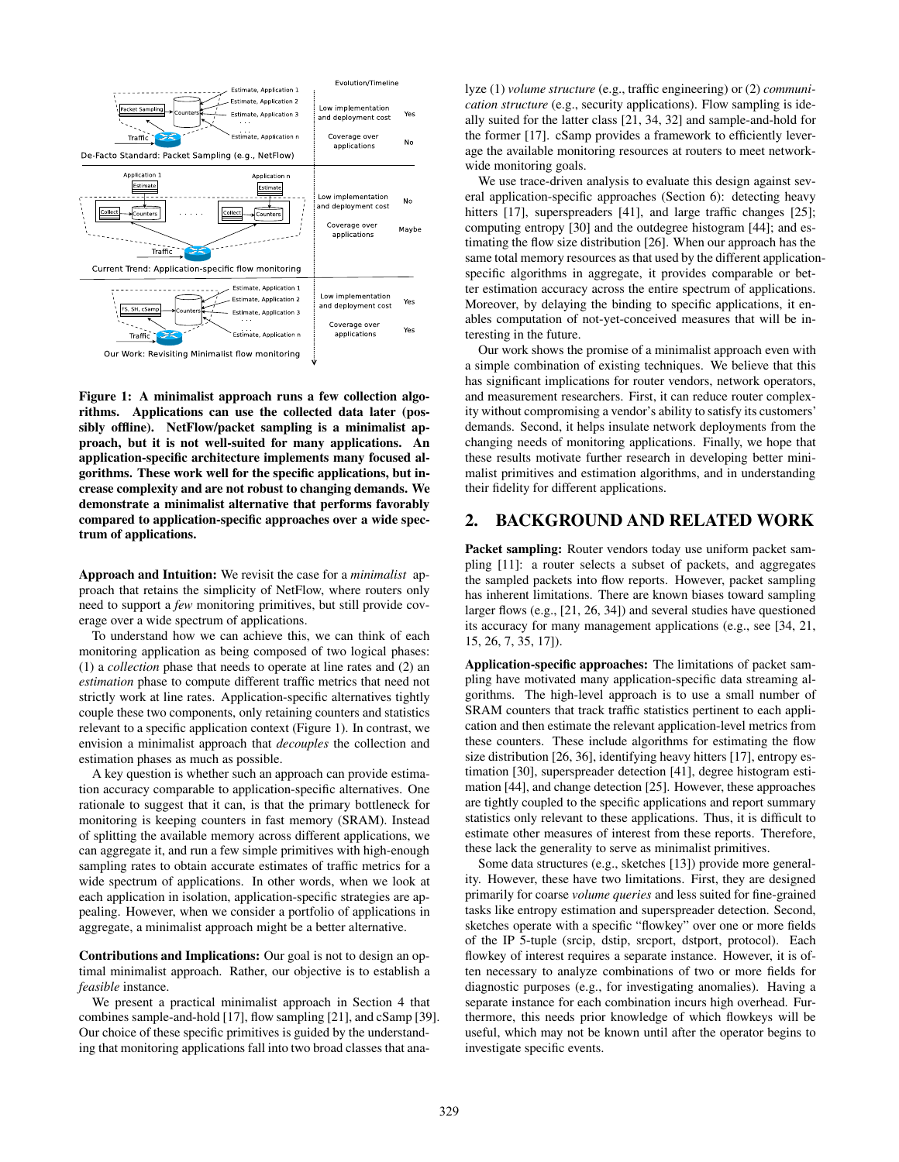

Figure 1: A minimalist approach runs a few collection algorithms. Applications can use the collected data later (possibly offline). NetFlow/packet sampling is a minimalist approach, but it is not well-suited for many applications. An application-specific architecture implements many focused algorithms. These work well for the specific applications, but increase complexity and are not robust to changing demands. We demonstrate a minimalist alternative that performs favorably compared to application-specific approaches over a wide spectrum of applications.

Approach and Intuition: We revisit the case for a *minimalist* approach that retains the simplicity of NetFlow, where routers only need to support a *few* monitoring primitives, but still provide coverage over a wide spectrum of applications.

To understand how we can achieve this, we can think of each monitoring application as being composed of two logical phases: (1) a *collection* phase that needs to operate at line rates and (2) an *estimation* phase to compute different traffic metrics that need not strictly work at line rates. Application-specific alternatives tightly couple these two components, only retaining counters and statistics relevant to a specific application context (Figure 1). In contrast, we envision a minimalist approach that *decouples* the collection and estimation phases as much as possible.

A key question is whether such an approach can provide estimation accuracy comparable to application-specific alternatives. One rationale to suggest that it can, is that the primary bottleneck for monitoring is keeping counters in fast memory (SRAM). Instead of splitting the available memory across different applications, we can aggregate it, and run a few simple primitives with high-enough sampling rates to obtain accurate estimates of traffic metrics for a wide spectrum of applications. In other words, when we look at each application in isolation, application-specific strategies are appealing. However, when we consider a portfolio of applications in aggregate, a minimalist approach might be a better alternative.

Contributions and Implications: Our goal is not to design an optimal minimalist approach. Rather, our objective is to establish a *feasible* instance.

We present a practical minimalist approach in Section 4 that combines sample-and-hold [17], flow sampling [21], and cSamp [39]. Our choice of these specific primitives is guided by the understanding that monitoring applications fall into two broad classes that analyze (1) *volume structure* (e.g., traffic engineering) or (2) *communication structure* (e.g., security applications). Flow sampling is ideally suited for the latter class [21, 34, 32] and sample-and-hold for the former [17]. cSamp provides a framework to efficiently leverage the available monitoring resources at routers to meet networkwide monitoring goals.

We use trace-driven analysis to evaluate this design against several application-specific approaches (Section 6): detecting heavy hitters [17], superspreaders [41], and large traffic changes [25]; computing entropy [30] and the outdegree histogram [44]; and estimating the flow size distribution [26]. When our approach has the same total memory resources as that used by the different applicationspecific algorithms in aggregate, it provides comparable or better estimation accuracy across the entire spectrum of applications. Moreover, by delaying the binding to specific applications, it enables computation of not-yet-conceived measures that will be interesting in the future.

Our work shows the promise of a minimalist approach even with a simple combination of existing techniques. We believe that this has significant implications for router vendors, network operators, and measurement researchers. First, it can reduce router complexity without compromising a vendor's ability to satisfy its customers' demands. Second, it helps insulate network deployments from the changing needs of monitoring applications. Finally, we hope that these results motivate further research in developing better minimalist primitives and estimation algorithms, and in understanding their fidelity for different applications.

#### 2. BACKGROUND AND RELATED WORK

Packet sampling: Router vendors today use uniform packet sampling [11]: a router selects a subset of packets, and aggregates the sampled packets into flow reports. However, packet sampling has inherent limitations. There are known biases toward sampling larger flows (e.g., [21, 26, 34]) and several studies have questioned its accuracy for many management applications (e.g., see [34, 21, 15, 26, 7, 35, 17]).

Application-specific approaches: The limitations of packet sampling have motivated many application-specific data streaming algorithms. The high-level approach is to use a small number of SRAM counters that track traffic statistics pertinent to each application and then estimate the relevant application-level metrics from these counters. These include algorithms for estimating the flow size distribution [26, 36], identifying heavy hitters [17], entropy estimation [30], superspreader detection [41], degree histogram estimation [44], and change detection [25]. However, these approaches are tightly coupled to the specific applications and report summary statistics only relevant to these applications. Thus, it is difficult to estimate other measures of interest from these reports. Therefore, these lack the generality to serve as minimalist primitives.

Some data structures (e.g., sketches [13]) provide more generality. However, these have two limitations. First, they are designed primarily for coarse *volume queries* and less suited for fine-grained tasks like entropy estimation and superspreader detection. Second, sketches operate with a specific "flowkey" over one or more fields of the IP 5-tuple (srcip, dstip, srcport, dstport, protocol). Each flowkey of interest requires a separate instance. However, it is often necessary to analyze combinations of two or more fields for diagnostic purposes (e.g., for investigating anomalies). Having a separate instance for each combination incurs high overhead. Furthermore, this needs prior knowledge of which flowkeys will be useful, which may not be known until after the operator begins to investigate specific events.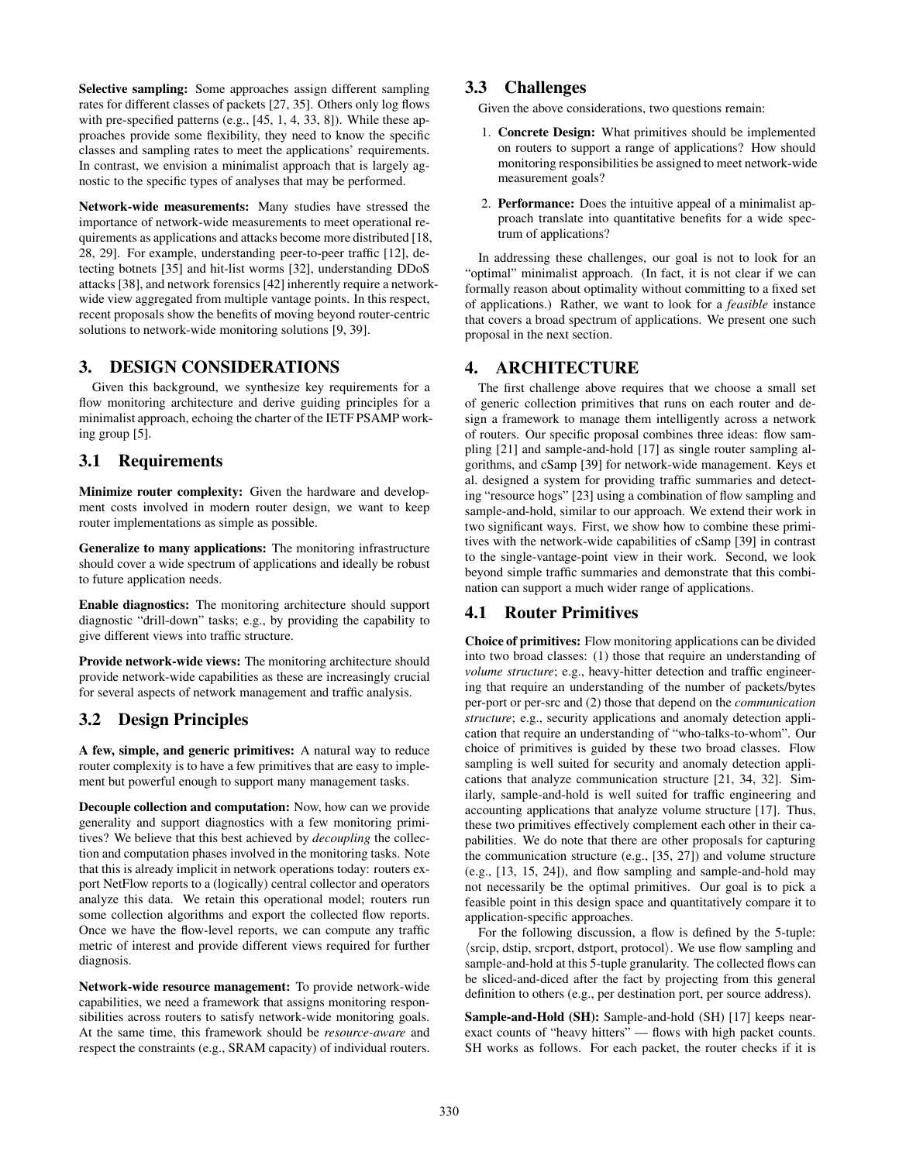Selective sampling: Some approaches assign different sampling rates for different classes of packets [27, 35]. Others only log flows with pre-specified patterns (e.g., [45, 1, 4, 33, 8]). While these approaches provide some flexibility, they need to know the specific classes and sampling rates to meet the applications' requirements. In contrast, we envision a minimalist approach that is largely agnostic to the specific types of analyses that may be performed.

Network-wide measurements: Many studies have stressed the importance of network-wide measurements to meet operational requirements as applications and attacks become more distributed [18, 28, 29]. For example, understanding peer-to-peer traffic [12], detecting botnets [35] and hit-list worms [32], understanding DDoS attacks [38], and network forensics [42] inherently require a networkwide view aggregated from multiple vantage points. In this respect, recent proposals show the benefits of moving beyond router-centric solutions to network-wide monitoring solutions [9, 39].

# 3. DESIGN CONSIDERATIONS

Given this background, we synthesize key requirements for a flow monitoring architecture and derive guiding principles for a minimalist approach, echoing the charter of the IETF PSAMP working group [5].

# 3.1 Requirements

Minimize router complexity: Given the hardware and development costs involved in modern router design, we want to keep router implementations as simple as possible.

Generalize to many applications: The monitoring infrastructure should cover a wide spectrum of applications and ideally be robust to future application needs.

Enable diagnostics: The monitoring architecture should support diagnostic "drill-down" tasks; e.g., by providing the capability to give different views into traffic structure.

Provide network-wide views: The monitoring architecture should provide network-wide capabilities as these are increasingly crucial for several aspects of network management and traffic analysis.

# 3.2 Design Principles

A few, simple, and generic primitives: A natural way to reduce router complexity is to have a few primitives that are easy to implement but powerful enough to support many management tasks.

Decouple collection and computation: Now, how can we provide generality and support diagnostics with a few monitoring primitives? We believe that this best achieved by *decoupling* the collection and computation phases involved in the monitoring tasks. Note that this is already implicit in network operations today: routers export NetFlow reports to a (logically) central collector and operators analyze this data. We retain this operational model; routers run some collection algorithms and export the collected flow reports. Once we have the flow-level reports, we can compute any traffic metric of interest and provide different views required for further diagnosis.

Network-wide resource management: To provide network-wide capabilities, we need a framework that assigns monitoring responsibilities across routers to satisfy network-wide monitoring goals. At the same time, this framework should be *resource-aware* and respect the constraints (e.g., SRAM capacity) of individual routers.

#### 3.3 Challenges

Given the above considerations, two questions remain:

- 1. Concrete Design: What primitives should be implemented on routers to support a range of applications? How should monitoring responsibilities be assigned to meet network-wide measurement goals?
- 2. Performance: Does the intuitive appeal of a minimalist approach translate into quantitative benefits for a wide spectrum of applications?

In addressing these challenges, our goal is not to look for an "optimal" minimalist approach. (In fact, it is not clear if we can formally reason about optimality without committing to a fixed set of applications.) Rather, we want to look for a *feasible* instance that covers a broad spectrum of applications. We present one such proposal in the next section.

#### 4. ARCHITECTURE

The first challenge above requires that we choose a small set of generic collection primitives that runs on each router and design a framework to manage them intelligently across a network of routers. Our specific proposal combines three ideas: flow sampling [21] and sample-and-hold [17] as single router sampling algorithms, and cSamp [39] for network-wide management. Keys et al. designed a system for providing traffic summaries and detecting "resource hogs" [23] using a combination of flow sampling and sample-and-hold, similar to our approach. We extend their work in two significant ways. First, we show how to combine these primitives with the network-wide capabilities of cSamp [39] in contrast to the single-vantage-point view in their work. Second, we look beyond simple traffic summaries and demonstrate that this combination can support a much wider range of applications.

# 4.1 Router Primitives

Choice of primitives: Flow monitoring applications can be divided into two broad classes: (1) those that require an understanding of *volume structure*; e.g., heavy-hitter detection and traffic engineering that require an understanding of the number of packets/bytes per-port or per-src and (2) those that depend on the *communication structure*; e.g., security applications and anomaly detection application that require an understanding of "who-talks-to-whom". Our choice of primitives is guided by these two broad classes. Flow sampling is well suited for security and anomaly detection applications that analyze communication structure [21, 34, 32]. Similarly, sample-and-hold is well suited for traffic engineering and accounting applications that analyze volume structure [17]. Thus, these two primitives effectively complement each other in their capabilities. We do note that there are other proposals for capturing the communication structure (e.g., [35, 27]) and volume structure (e.g., [13, 15, 24]), and flow sampling and sample-and-hold may not necessarily be the optimal primitives. Our goal is to pick a feasible point in this design space and quantitatively compare it to application-specific approaches.

For the following discussion, a flow is defined by the 5-tuple:  $\langle$ srcip, dstip, srcport, dstport, protocol $\rangle$ . We use flow sampling and sample-and-hold at this 5-tuple granularity. The collected flows can be sliced-and-diced after the fact by projecting from this general definition to others (e.g., per destination port, per source address).

Sample-and-Hold (SH): Sample-and-hold (SH) [17] keeps nearexact counts of "heavy hitters" — flows with high packet counts. SH works as follows. For each packet, the router checks if it is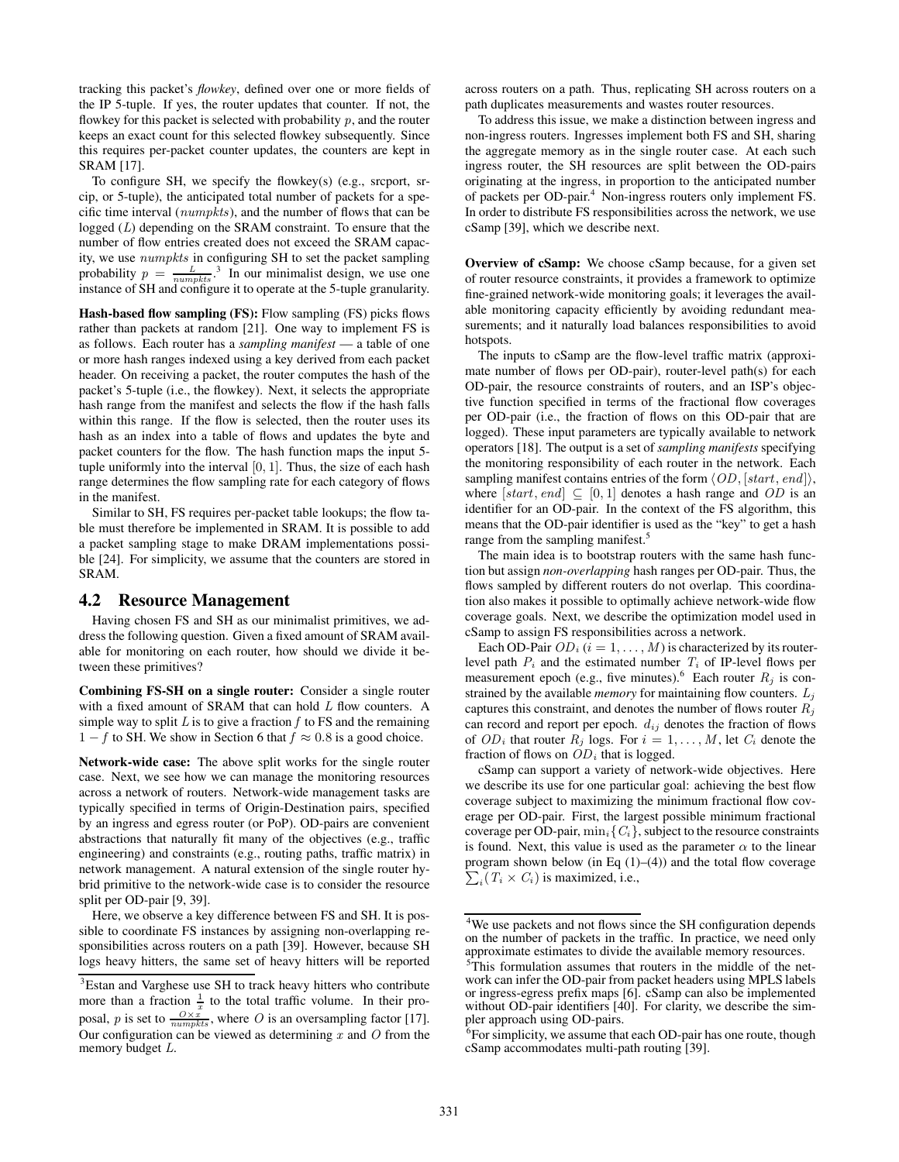tracking this packet's *flowkey*, defined over one or more fields of the IP 5-tuple. If yes, the router updates that counter. If not, the flowkey for this packet is selected with probability  $p$ , and the router keeps an exact count for this selected flowkey subsequently. Since this requires per-packet counter updates, the counters are kept in SRAM [17].

To configure SH, we specify the flowkey(s) (e.g., srcport, srcip, or 5-tuple), the anticipated total number of packets for a specific time interval (numpkts), and the number of flows that can be logged (L) depending on the SRAM constraint. To ensure that the number of flow entries created does not exceed the SRAM capacity, we use numpkts in configuring SH to set the packet sampling probability  $p = \frac{L}{numpkts}$ <sup>3</sup> In our minimalist design, we use one instance of SH and configure it to operate at the 5-tuple granularity.

Hash-based flow sampling (FS): Flow sampling (FS) picks flows rather than packets at random [21]. One way to implement FS is as follows. Each router has a *sampling manifest* — a table of one or more hash ranges indexed using a key derived from each packet header. On receiving a packet, the router computes the hash of the packet's 5-tuple (i.e., the flowkey). Next, it selects the appropriate hash range from the manifest and selects the flow if the hash falls within this range. If the flow is selected, then the router uses its hash as an index into a table of flows and updates the byte and packet counters for the flow. The hash function maps the input 5 tuple uniformly into the interval  $[0, 1]$ . Thus, the size of each hash range determines the flow sampling rate for each category of flows in the manifest.

Similar to SH, FS requires per-packet table lookups; the flow table must therefore be implemented in SRAM. It is possible to add a packet sampling stage to make DRAM implementations possible [24]. For simplicity, we assume that the counters are stored in SRAM.

#### 4.2 Resource Management

Having chosen FS and SH as our minimalist primitives, we address the following question. Given a fixed amount of SRAM available for monitoring on each router, how should we divide it between these primitives?

Combining FS-SH on a single router: Consider a single router with a fixed amount of SRAM that can hold L flow counters. A simple way to split  $L$  is to give a fraction  $f$  to FS and the remaining  $1 - f$  to SH. We show in Section 6 that  $f \approx 0.8$  is a good choice.

Network-wide case: The above split works for the single router case. Next, we see how we can manage the monitoring resources across a network of routers. Network-wide management tasks are typically specified in terms of Origin-Destination pairs, specified by an ingress and egress router (or PoP). OD-pairs are convenient abstractions that naturally fit many of the objectives (e.g., traffic engineering) and constraints (e.g., routing paths, traffic matrix) in network management. A natural extension of the single router hybrid primitive to the network-wide case is to consider the resource split per OD-pair [9, 39].

Here, we observe a key difference between FS and SH. It is possible to coordinate FS instances by assigning non-overlapping responsibilities across routers on a path [39]. However, because SH logs heavy hitters, the same set of heavy hitters will be reported across routers on a path. Thus, replicating SH across routers on a path duplicates measurements and wastes router resources.

To address this issue, we make a distinction between ingress and non-ingress routers. Ingresses implement both FS and SH, sharing the aggregate memory as in the single router case. At each such ingress router, the SH resources are split between the OD-pairs originating at the ingress, in proportion to the anticipated number of packets per OD-pair.<sup>4</sup> Non-ingress routers only implement FS. In order to distribute FS responsibilities across the network, we use cSamp [39], which we describe next.

Overview of cSamp: We choose cSamp because, for a given set of router resource constraints, it provides a framework to optimize fine-grained network-wide monitoring goals; it leverages the available monitoring capacity efficiently by avoiding redundant measurements; and it naturally load balances responsibilities to avoid hotspots.

The inputs to cSamp are the flow-level traffic matrix (approximate number of flows per OD-pair), router-level path(s) for each OD-pair, the resource constraints of routers, and an ISP's objective function specified in terms of the fractional flow coverages per OD-pair (i.e., the fraction of flows on this OD-pair that are logged). These input parameters are typically available to network operators [18]. The output is a set of *sampling manifests* specifying the monitoring responsibility of each router in the network. Each sampling manifest contains entries of the form  $\langle OD, [start, end]\rangle$ , where  $[start, end] \subseteq [0, 1]$  denotes a hash range and OD is an identifier for an OD-pair. In the context of the FS algorithm, this means that the OD-pair identifier is used as the "key" to get a hash range from the sampling manifest.<sup>5</sup>

The main idea is to bootstrap routers with the same hash function but assign *non-overlapping* hash ranges per OD-pair. Thus, the flows sampled by different routers do not overlap. This coordination also makes it possible to optimally achieve network-wide flow coverage goals. Next, we describe the optimization model used in cSamp to assign FS responsibilities across a network.

Each OD-Pair  $OD_i$  ( $i = 1, ..., M$ ) is characterized by its routerlevel path  $P_i$  and the estimated number  $T_i$  of IP-level flows per measurement epoch (e.g., five minutes).<sup>6</sup> Each router  $R_j$  is constrained by the available *memory* for maintaining flow counters.  $L_j$ captures this constraint, and denotes the number of flows router  $R_i$ can record and report per epoch.  $d_{ij}$  denotes the fraction of flows of  $OD_i$  that router  $R_j$  logs. For  $i = 1, ..., M$ , let  $C_i$  denote the fraction of flows on  $OD<sub>i</sub>$  that is logged.

cSamp can support a variety of network-wide objectives. Here we describe its use for one particular goal: achieving the best flow coverage subject to maximizing the minimum fractional flow coverage per OD-pair. First, the largest possible minimum fractional coverage per OD-pair,  $\min_i \{C_i\}$ , subject to the resource constraints is found. Next, this value is used as the parameter  $\alpha$  to the linear program shown below (in Eq (1)–(4)) and the total flow coverage  $\sum_i (T_i \times C_i)$  is maximized, i.e.,  $_i(T_i \times C_i)$  is maximized, i.e.,

<sup>&</sup>lt;sup>3</sup>Estan and Varghese use SH to track heavy hitters who contribute more than a fraction  $\frac{1}{x}$  to the total traffic volume. In their proposal, *p* is set to  $\frac{O \times x}{numpkts}$ , where *O* is an oversampling factor [17]. Our configuration can be viewed as determining x and  $\hat{O}$  from the memory budget L.

<sup>&</sup>lt;sup>4</sup>We use packets and not flows since the SH configuration depends on the number of packets in the traffic. In practice, we need only approximate estimates to divide the available memory resources.

<sup>5</sup>This formulation assumes that routers in the middle of the network can infer the OD-pair from packet headers using MPLS labels or ingress-egress prefix maps [6]. cSamp can also be implemented without OD-pair identifiers [40]. For clarity, we describe the simpler approach using OD-pairs.

 ${}^{6}$ For simplicity, we assume that each OD-pair has one route, though cSamp accommodates multi-path routing [39].